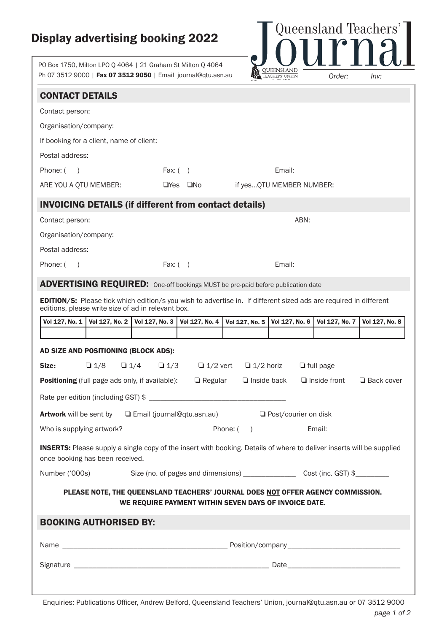## Display advertising booking 2022

PO Box 1750, Milton LPO Q 4064 | 21 Graham St Milton Q 4064 Ph 07 3512 9000 | Fax 07 3512 9050 | Email journal@qtu.asn.au



| <b>CONTACT DETAILS</b><br>Contact person:<br>Organisation/company:<br>If booking for a client, name of client:<br>Postal address:<br>Email:<br>Phone: (<br>Fax: $( )$<br>$\rightarrow$<br>ARE YOU A QTU MEMBER:<br>$\Box$ Yes $\Box$ No<br>if yesQTU MEMBER NUMBER:<br><b>INVOICING DETAILS (if different from contact details)</b><br>Contact person:<br>ABN:<br>Organisation/company:<br>Postal address:<br>Fax: $( )$<br>Email:<br>Phone: $( )$<br><b>ADVERTISING REQUIRED:</b> One-off bookings MUST be pre-paid before publication date<br><b>EDITION/S:</b> Please tick which edition/s you wish to advertise in. If different sized ads are required in different<br>editions, please write size of ad in relevant box.<br>Vol 127, No. 1<br>Vol 127, No. 2<br>Vol 127, No. 3   Vol 127, No. 4<br>Vol 127, No. 7<br>Vol 127, No. 5<br>Vol 127, No. 6<br>Vol 127, No. 8<br>AD SIZE AND POSITIONING (BLOCK ADS):<br>Size:<br>$\Box$ 1/8<br>$\Box$ 1/4<br>$\Box$ 1/3<br>$\Box$ 1/2 vert $\Box$ 1/2 horiz<br>$\Box$ full page<br><b>Positioning</b> (full page ads only, if available):<br>$\Box$ Regular<br>$\Box$ Inside back<br>$\Box$ Inside front<br>Rate per edition (including GST) \$<br>□ Email (journal@qtu.asn.au)<br><b>Artwork</b> will be sent by<br>$\Box$ Post/courier on disk<br>Who is supplying artwork?<br>Phone: $( )$<br>Email:<br><b>INSERTS:</b> Please supply a single copy of the insert with booking. Details of where to deliver inserts will be supplied<br>once booking has been received.<br>Number ('000s)<br>PLEASE NOTE, THE QUEENSLAND TEACHERS' JOURNAL DOES NOT OFFER AGENCY COMMISSION.<br>WE REQUIRE PAYMENT WITHIN SEVEN DAYS OF INVOICE DATE.<br><b>BOOKING AUTHORISED BY:</b> | $\Box$ Back cover |  |  |  |  |  |  |  |  |
|----------------------------------------------------------------------------------------------------------------------------------------------------------------------------------------------------------------------------------------------------------------------------------------------------------------------------------------------------------------------------------------------------------------------------------------------------------------------------------------------------------------------------------------------------------------------------------------------------------------------------------------------------------------------------------------------------------------------------------------------------------------------------------------------------------------------------------------------------------------------------------------------------------------------------------------------------------------------------------------------------------------------------------------------------------------------------------------------------------------------------------------------------------------------------------------------------------------------------------------------------------------------------------------------------------------------------------------------------------------------------------------------------------------------------------------------------------------------------------------------------------------------------------------------------------------------------------------------------------------------------------------------------------------------------------------------------------------------------|-------------------|--|--|--|--|--|--|--|--|
|                                                                                                                                                                                                                                                                                                                                                                                                                                                                                                                                                                                                                                                                                                                                                                                                                                                                                                                                                                                                                                                                                                                                                                                                                                                                                                                                                                                                                                                                                                                                                                                                                                                                                                                            |                   |  |  |  |  |  |  |  |  |
|                                                                                                                                                                                                                                                                                                                                                                                                                                                                                                                                                                                                                                                                                                                                                                                                                                                                                                                                                                                                                                                                                                                                                                                                                                                                                                                                                                                                                                                                                                                                                                                                                                                                                                                            |                   |  |  |  |  |  |  |  |  |
|                                                                                                                                                                                                                                                                                                                                                                                                                                                                                                                                                                                                                                                                                                                                                                                                                                                                                                                                                                                                                                                                                                                                                                                                                                                                                                                                                                                                                                                                                                                                                                                                                                                                                                                            |                   |  |  |  |  |  |  |  |  |
|                                                                                                                                                                                                                                                                                                                                                                                                                                                                                                                                                                                                                                                                                                                                                                                                                                                                                                                                                                                                                                                                                                                                                                                                                                                                                                                                                                                                                                                                                                                                                                                                                                                                                                                            |                   |  |  |  |  |  |  |  |  |
|                                                                                                                                                                                                                                                                                                                                                                                                                                                                                                                                                                                                                                                                                                                                                                                                                                                                                                                                                                                                                                                                                                                                                                                                                                                                                                                                                                                                                                                                                                                                                                                                                                                                                                                            |                   |  |  |  |  |  |  |  |  |
|                                                                                                                                                                                                                                                                                                                                                                                                                                                                                                                                                                                                                                                                                                                                                                                                                                                                                                                                                                                                                                                                                                                                                                                                                                                                                                                                                                                                                                                                                                                                                                                                                                                                                                                            |                   |  |  |  |  |  |  |  |  |
|                                                                                                                                                                                                                                                                                                                                                                                                                                                                                                                                                                                                                                                                                                                                                                                                                                                                                                                                                                                                                                                                                                                                                                                                                                                                                                                                                                                                                                                                                                                                                                                                                                                                                                                            |                   |  |  |  |  |  |  |  |  |
|                                                                                                                                                                                                                                                                                                                                                                                                                                                                                                                                                                                                                                                                                                                                                                                                                                                                                                                                                                                                                                                                                                                                                                                                                                                                                                                                                                                                                                                                                                                                                                                                                                                                                                                            |                   |  |  |  |  |  |  |  |  |
|                                                                                                                                                                                                                                                                                                                                                                                                                                                                                                                                                                                                                                                                                                                                                                                                                                                                                                                                                                                                                                                                                                                                                                                                                                                                                                                                                                                                                                                                                                                                                                                                                                                                                                                            |                   |  |  |  |  |  |  |  |  |
|                                                                                                                                                                                                                                                                                                                                                                                                                                                                                                                                                                                                                                                                                                                                                                                                                                                                                                                                                                                                                                                                                                                                                                                                                                                                                                                                                                                                                                                                                                                                                                                                                                                                                                                            |                   |  |  |  |  |  |  |  |  |
|                                                                                                                                                                                                                                                                                                                                                                                                                                                                                                                                                                                                                                                                                                                                                                                                                                                                                                                                                                                                                                                                                                                                                                                                                                                                                                                                                                                                                                                                                                                                                                                                                                                                                                                            |                   |  |  |  |  |  |  |  |  |
|                                                                                                                                                                                                                                                                                                                                                                                                                                                                                                                                                                                                                                                                                                                                                                                                                                                                                                                                                                                                                                                                                                                                                                                                                                                                                                                                                                                                                                                                                                                                                                                                                                                                                                                            |                   |  |  |  |  |  |  |  |  |
|                                                                                                                                                                                                                                                                                                                                                                                                                                                                                                                                                                                                                                                                                                                                                                                                                                                                                                                                                                                                                                                                                                                                                                                                                                                                                                                                                                                                                                                                                                                                                                                                                                                                                                                            |                   |  |  |  |  |  |  |  |  |
|                                                                                                                                                                                                                                                                                                                                                                                                                                                                                                                                                                                                                                                                                                                                                                                                                                                                                                                                                                                                                                                                                                                                                                                                                                                                                                                                                                                                                                                                                                                                                                                                                                                                                                                            |                   |  |  |  |  |  |  |  |  |
|                                                                                                                                                                                                                                                                                                                                                                                                                                                                                                                                                                                                                                                                                                                                                                                                                                                                                                                                                                                                                                                                                                                                                                                                                                                                                                                                                                                                                                                                                                                                                                                                                                                                                                                            |                   |  |  |  |  |  |  |  |  |
|                                                                                                                                                                                                                                                                                                                                                                                                                                                                                                                                                                                                                                                                                                                                                                                                                                                                                                                                                                                                                                                                                                                                                                                                                                                                                                                                                                                                                                                                                                                                                                                                                                                                                                                            |                   |  |  |  |  |  |  |  |  |
|                                                                                                                                                                                                                                                                                                                                                                                                                                                                                                                                                                                                                                                                                                                                                                                                                                                                                                                                                                                                                                                                                                                                                                                                                                                                                                                                                                                                                                                                                                                                                                                                                                                                                                                            |                   |  |  |  |  |  |  |  |  |
|                                                                                                                                                                                                                                                                                                                                                                                                                                                                                                                                                                                                                                                                                                                                                                                                                                                                                                                                                                                                                                                                                                                                                                                                                                                                                                                                                                                                                                                                                                                                                                                                                                                                                                                            |                   |  |  |  |  |  |  |  |  |
|                                                                                                                                                                                                                                                                                                                                                                                                                                                                                                                                                                                                                                                                                                                                                                                                                                                                                                                                                                                                                                                                                                                                                                                                                                                                                                                                                                                                                                                                                                                                                                                                                                                                                                                            |                   |  |  |  |  |  |  |  |  |
|                                                                                                                                                                                                                                                                                                                                                                                                                                                                                                                                                                                                                                                                                                                                                                                                                                                                                                                                                                                                                                                                                                                                                                                                                                                                                                                                                                                                                                                                                                                                                                                                                                                                                                                            |                   |  |  |  |  |  |  |  |  |
|                                                                                                                                                                                                                                                                                                                                                                                                                                                                                                                                                                                                                                                                                                                                                                                                                                                                                                                                                                                                                                                                                                                                                                                                                                                                                                                                                                                                                                                                                                                                                                                                                                                                                                                            |                   |  |  |  |  |  |  |  |  |
|                                                                                                                                                                                                                                                                                                                                                                                                                                                                                                                                                                                                                                                                                                                                                                                                                                                                                                                                                                                                                                                                                                                                                                                                                                                                                                                                                                                                                                                                                                                                                                                                                                                                                                                            |                   |  |  |  |  |  |  |  |  |